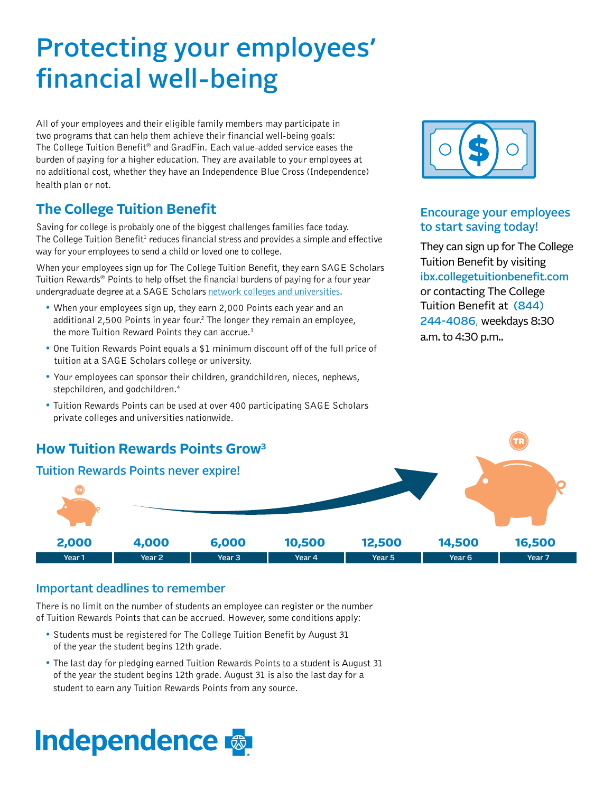## Protecting your employees' financial well-being

All of your employees and their eligible family members may participate in two programs that can help them achieve their financial well-being goals: The College Tuition Benefit® and GradFin. Each value-added service eases the burden of paying for a higher education. They are available to your employees at no additional cost, whether they have an Independence Blue Cross (Independence) health plan or not.

## **The College Tuition Benefit**

Saving for college is probably one of the biggest challenges families face today. The College Tuition Benefit<sup>1</sup> reduces financial stress and provides a simple and effective way for your employees to send a child or loved one to college.

When your employees sign up for The College Tuition Benefit, they earn SAGE Scholars Tuition Rewards® Points to help offset the financial burdens of paying for a four year undergraduate degree at a SAGE Scholars [network colleges and universities.](http://www.ibx.collegetuitionbenefit.com/colleges.cfm)

- When your employees sign up, they earn 2,000 Points each year and an additional 2,500 Points in year four.<sup>2</sup> The longer they remain an employee, the more Tuition Reward Points they can accrue.<sup>3</sup>
- One Tuition Rewards Point equals a \$1 minimum discount off of the full price of tuition at a SAGE Scholars college or university.
- Your employees can sponsor their children, grandchildren, nieces, nephews, stepchildren, and godchildren.<sup>4</sup>
- Tuition Rewards Points can be used at over 400 participating SAGE Scholars private colleges and universities nationwide.



## Encourage your employees to start saving today!

They can sign up for The College Tuition Benefit by visiting ibx.collegetuitionbenefit.com or contacting The College Tuition Benefit at (844) 244-4086, weekdays 8:30 a.m. to 4:30 p.m..



## Important deadlines to remember

There is no limit on the number of students an employee can register or the number of Tuition Rewards Points that can be accrued. However, some conditions apply:

- Students must be registered for The College Tuition Benefit by August 31 of the year the student begins 12th grade.
- The last day for pledging earned Tuition Rewards Points to a student is August 31 of the year the student begins 12th grade. August 31 is also the last day for a student to earn any Tuition Rewards Points from any source.

# **Independence**